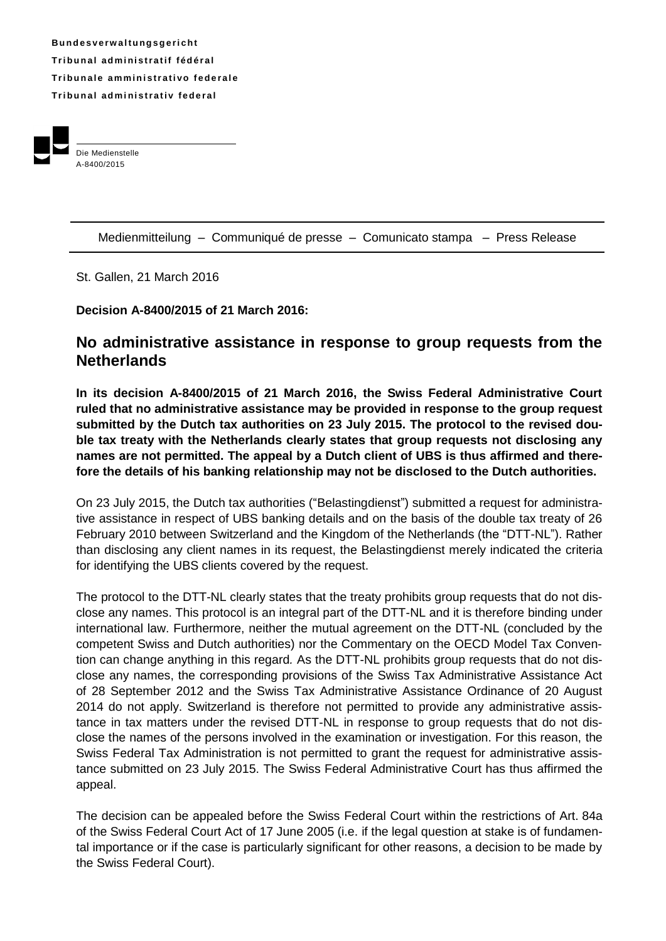**B u n d e s v e rw a l t u ng s g e r i ch t Tr i b u n a l ad m i ni s t r a t i f f éd é r a l Tribunale amministrativo federale Tr i b u n a l ad m i ni s t r a t i v fe d e r a l**



Die Medienstelle A-8400/2015

Medienmitteilung – Communiqué de presse – Comunicato stampa – Press Release

St. Gallen, 21 March 2016

**Decision A-8400/2015 of 21 March 2016:**

## **No administrative assistance in response to group requests from the Netherlands**

**In its decision A-8400/2015 of 21 March 2016, the Swiss Federal Administrative Court ruled that no administrative assistance may be provided in response to the group request submitted by the Dutch tax authorities on 23 July 2015. The protocol to the revised double tax treaty with the Netherlands clearly states that group requests not disclosing any names are not permitted. The appeal by a Dutch client of UBS is thus affirmed and therefore the details of his banking relationship may not be disclosed to the Dutch authorities.** 

On 23 July 2015, the Dutch tax authorities ("Belastingdienst") submitted a request for administrative assistance in respect of UBS banking details and on the basis of the double tax treaty of 26 February 2010 between Switzerland and the Kingdom of the Netherlands (the "DTT-NL"). Rather than disclosing any client names in its request, the Belastingdienst merely indicated the criteria for identifying the UBS clients covered by the request.

The protocol to the DTT-NL clearly states that the treaty prohibits group requests that do not disclose any names. This protocol is an integral part of the DTT-NL and it is therefore binding under international law. Furthermore, neither the mutual agreement on the DTT-NL (concluded by the competent Swiss and Dutch authorities) nor the Commentary on the OECD Model Tax Convention can change anything in this regard*.* As the DTT-NL prohibits group requests that do not disclose any names, the corresponding provisions of the Swiss Tax Administrative Assistance Act of 28 September 2012 and the Swiss Tax Administrative Assistance Ordinance of 20 August 2014 do not apply. Switzerland is therefore not permitted to provide any administrative assistance in tax matters under the revised DTT-NL in response to group requests that do not disclose the names of the persons involved in the examination or investigation. For this reason, the Swiss Federal Tax Administration is not permitted to grant the request for administrative assistance submitted on 23 July 2015. The Swiss Federal Administrative Court has thus affirmed the appeal.

The decision can be appealed before the Swiss Federal Court within the restrictions of Art. 84a of the Swiss Federal Court Act of 17 June 2005 (i.e. if the legal question at stake is of fundamental importance or if the case is particularly significant for other reasons, a decision to be made by the Swiss Federal Court).